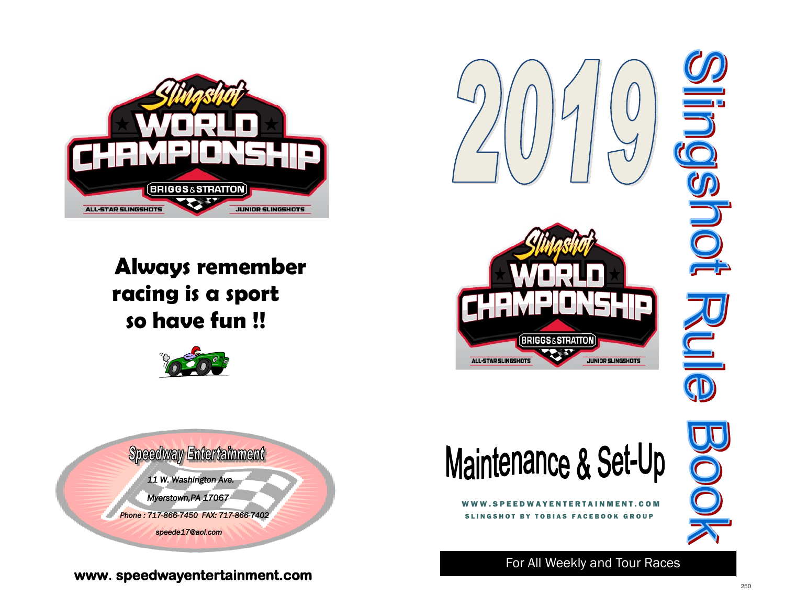

# **Always remember racing is a sport so have fun !!**



**Speedway Entertainment** 

 *11 W. Washington Ave.* 

 *Myerstown,PA 17067* 

 *Phone : 717-866-7450 FAX: 717-866-7402* 

 *speede17@aol.com* 

## **www. speedwayentertainment.com**







O

For All Weekly and Tour Races

SLINGSHOT BY TOBIAS FACEBOOK GROUP

N T E R T A I N M E N T . C O M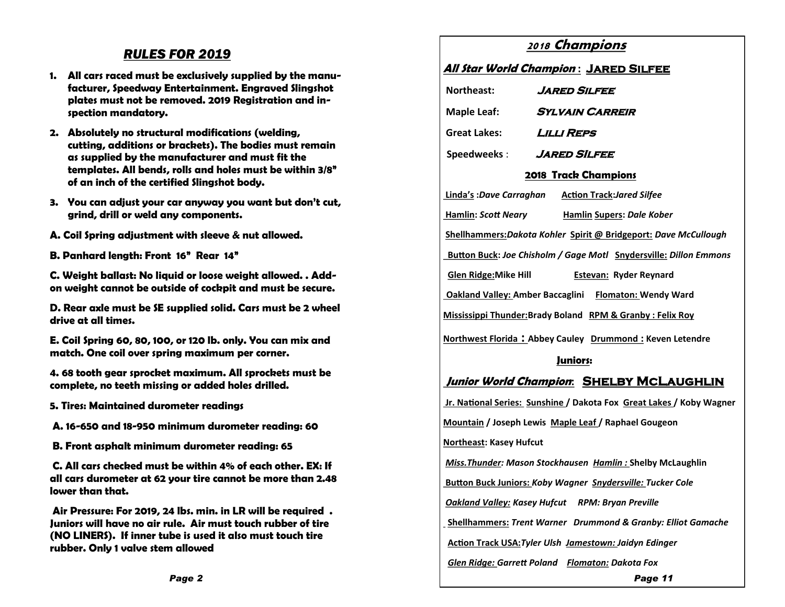### *RULES FOR 2019*

- **1. All cars raced must be exclusively supplied by the manufacturer, Speedway Entertainment. Engraved Slingshot plates must not be removed. 2019 Registration and inspection mandatory.**
- **2. Absolutely no structural modifications (welding, cutting, additions or brackets). The bodies must remain as supplied by the manufacturer and must fit the templates. All bends, rolls and holes must be within 3/8" of an inch of the certified Slingshot body.**
- **3. You can adjust your car anyway you want but don't cut, grind, drill or weld any components.**
- **A. Coil Spring adjustment with sleeve & nut allowed.**
- **B. Panhard length: Front 16" Rear 14"**

**C. Weight ballast: No liquid or loose weight allowed. . Addon weight cannot be outside of cockpit and must be secure.**

**D. Rear axle must be SE supplied solid. Cars must be 2 wheel drive at all times.**

**E. Coil Spring 60, 80, 100, or 120 lb. only. You can mix and match. One coil over spring maximum per corner.**

**4. 68 tooth gear sprocket maximum. All sprockets must be complete, no teeth missing or added holes drilled.**

- **5. Tires: Maintained durometer readings**
- **A. 16-650 and 18-950 minimum durometer reading: 60**
- **B. Front asphalt minimum durometer reading: 65**

**C. All cars checked must be within 4% of each other. EX: If all cars durometer at 62 your tire cannot be more than 2.48 lower than that.**

**Air Pressure: For 2019, 24 lbs. min. in LR will be required . Juniors will have no air rule. Air must touch rubber of tire (NO LINERS). If inner tube is used it also must touch tire rubber. Only 1 valve stem allowed** 

### **<sup>2018</sup> Champions**

#### **All Star World Champion : Jared Silfee**

| Northeast:                                                           | JARED SILFEE                                                             |  |
|----------------------------------------------------------------------|--------------------------------------------------------------------------|--|
| <b>Maple Leaf:</b>                                                   | <b>SYLVAIN CARREIR</b>                                                   |  |
| Great Lakes:                                                         | <i>LILLI REPS</i>                                                        |  |
| Speedweeks:                                                          | <b>JARED SILFEE</b>                                                      |  |
| <b>2018 Track Champions</b>                                          |                                                                          |  |
|                                                                      | Linda's: Dave Carraghan Action Track: Jared Silfee                       |  |
| Hamlin: Scott Neary                                                  | <b>Hamlin Supers: Dale Kober</b>                                         |  |
| Shellhammers: Dakota Kohler Spirit @ Bridgeport: Dave McCullough     |                                                                          |  |
|                                                                      | <b>Button Buck: Joe Chisholm / Gage Motl Snydersville: Dillon Emmons</b> |  |
| <b>Glen Ridge: Mike Hill</b>                                         | <b>Estevan: Ryder Reynard</b>                                            |  |
| <b>Oakland Valley: Amber Baccaglini</b> Flomaton: Wendy Ward         |                                                                          |  |
|                                                                      | Mississippi Thunder: Brady Boland RPM & Granby: Felix Roy                |  |
|                                                                      | Northwest Florida: Abbey Cauley Drummond: Keven Letendre                 |  |
|                                                                      | Juniors:                                                                 |  |
|                                                                      | Junior World Champion: SHELBY MCLAUGHLIN                                 |  |
| Ir. National Series: Sunshine / Dakota Fox Great Lakes / Koby Wagner |                                                                          |  |
|                                                                      | Mountain / Joseph Lewis Maple Leaf / Raphael Gougeon                     |  |
| <b>Northeast: Kasey Hufcut</b>                                       |                                                                          |  |
| Miss. Thunder: Mason Stockhausen Hamlin: Shelby McLaughlin           |                                                                          |  |
| <b>Button Buck Juniors: Koby Wagner Snydersville: Tucker Cole</b>    |                                                                          |  |
|                                                                      | <b>Oakland Valley: Kasey Hufcut RPM: Bryan Preville</b>                  |  |
|                                                                      | Shellhammers: Trent Warner Drummond & Granby: Elliot Gamache             |  |
| Action Track USA: Tyler Ulsh Jamestown: Jaidyn Edinger               |                                                                          |  |
|                                                                      | <b>Glen Ridge: Garrett Poland Flomaton: Dakota Fox</b>                   |  |
|                                                                      | Page 11                                                                  |  |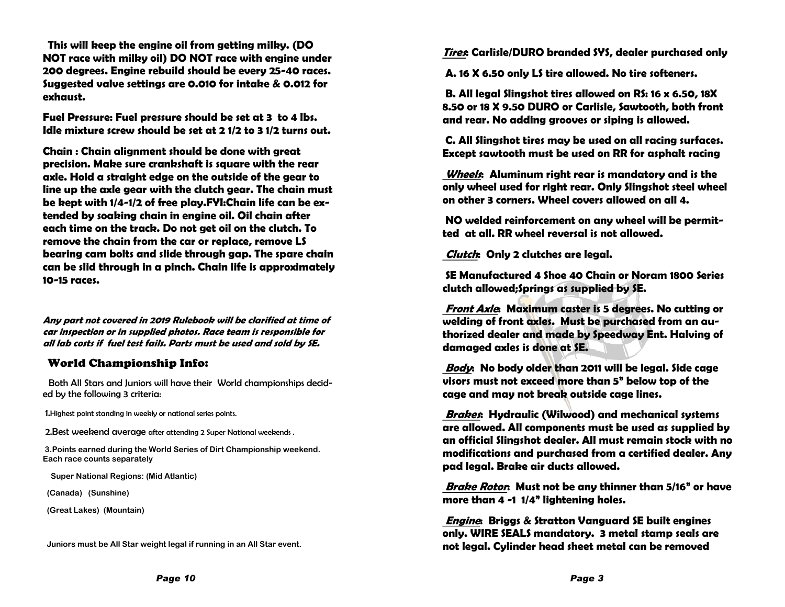**This will keep the engine oil from getting milky. (DO NOT race with milky oil) DO NOT race with engine under 200 degrees. Engine rebuild should be every 25-40 races. Suggested valve settings are 0.010 for intake & 0.012 for exhaust.**

**Fuel Pressure: Fuel pressure should be set at 3 to 4 lbs. Idle mixture screw should be set at 2 1/2 to 3 1/2 turns out.**

**Chain : Chain alignment should be done with great precision. Make sure crankshaft is square with the rear axle. Hold a straight edge on the outside of the gear to line up the axle gear with the clutch gear. The chain must be kept with 1/4-1/2 of free play.FYI:Chain life can be extended by soaking chain in engine oil. Oil chain after each time on the track. Do not get oil on the clutch. To remove the chain from the car or replace, remove LS bearing cam bolts and slide through gap. The spare chain can be slid through in a pinch. Chain life is approximately 10-15 races.**

**Any part not covered in 2019 Rulebook will be clarified at time of car inspection or in supplied photos. Race team is responsible for all lab costs if fuel test fails. Parts must be used and sold by SE.**

#### World Championship Info:

 Both All Stars and Juniors will have their World championships decided by the following 3 criteria:

1.Highest point standing in weekly or national series points.

2.Best weekend average after attending 2 Super National weekends .

**3.Points earned during the World Series of Dirt Championship weekend. Each race counts separately** 

 **Super National Regions: (Mid Atlantic)** 

 **(Canada) (Sunshine)** 

 **(Great Lakes) (Mountain)** 

 **Juniors must be All Star weight legal if running in an All Star event.**

**Tires: Carlisle/DURO branded SYS, dealer purchased only**

**A. 16 X 6.50 only LS tire allowed. No tire softeners.**

**B. All legal Slingshot tires allowed on RS: 16 x 6.50, 18X 8.50 or 18 X 9.50 DURO or Carlisle, Sawtooth, both front and rear. No adding grooves or siping is allowed.** 

**C. All Slingshot tires may be used on all racing surfaces. Except sawtooth must be used on RR for asphalt racing** 

**Wheels: Aluminum right rear is mandatory and is the only wheel used for right rear. Only Slingshot steel wheel on other 3 corners. Wheel covers allowed on all 4.**

**NO welded reinforcement on any wheel will be permitted at all. RR wheel reversal is not allowed.** 

**Clutch: Only 2 clutches are legal.**

**SE Manufactured 4 Shoe 40 Chain or Noram 1800 Series clutch allowed;Springs as supplied by SE.**

**Front Axle: Maximum caster is 5 degrees. No cutting or welding of front axles. Must be purchased from an authorized dealer and made by Speedway Ent. Halving of damaged axles is done at SE.**

**Body: No body older than 2011 will be legal. Side cage visors must not exceed more than 5" below top of the cage and may not break outside cage lines.** 

**Brakes: Hydraulic (Wilwood) and mechanical systems are allowed. All components must be used as supplied by an official Slingshot dealer. All must remain stock with no modifications and purchased from a certified dealer. Any pad legal. Brake air ducts allowed.**

**Brake Rotor: Must not be any thinner than 5/16" or have more than 4 -1 1/4" lightening holes.**

**Engine: Briggs & Stratton Vanguard SE built engines only. WIRE SEALS mandatory. 3 metal stamp seals are not legal. Cylinder head sheet metal can be removed**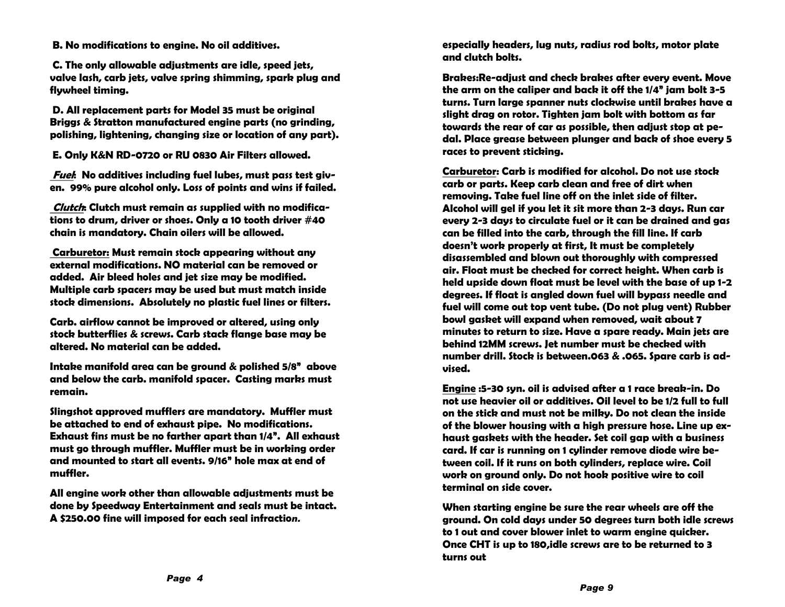**B. No modifications to engine. No oil additives.**

**C. The only allowable adjustments are idle, speed jets, valve lash, carb jets, valve spring shimming, spark plug and flywheel timing.**

**D. All replacement parts for Model 35 must be original Briggs & Stratton manufactured engine parts (no grinding, polishing, lightening, changing size or location of any part).**

**E. Only K&N RD-0720 or RU 0830 Air Filters allowed.** 

**Fuel: No additives including fuel lubes, must pass test given. 99% pure alcohol only. Loss of points and wins if failed.**

**Clutch: Clutch must remain as supplied with no modifications to drum, driver or shoes. Only a 10 tooth driver #40 chain is mandatory. Chain oilers will be allowed.**

**Carburetor: Must remain stock appearing without any external modifications. NO material can be removed or added. Air bleed holes and jet size may be modified. Multiple carb spacers may be used but must match inside stock dimensions. Absolutely no plastic fuel lines or filters.**

**Carb. airflow cannot be improved or altered, using only stock butterflies & screws. Carb stack flange base may be altered. No material can be added.**

**Intake manifold area can be ground & polished 5/8" above and below the carb. manifold spacer. Casting marks must remain.**

**Slingshot approved mufflers are mandatory. Muffler must be attached to end of exhaust pipe. No modifications. Exhaust fins must be no farther apart than 1/4". All exhaust must go through muffler. Muffler must be in working order and mounted to start all events. 9/16" hole max at end of muffler.** 

**All engine work other than allowable adjustments must be done by Speedway Entertainment and seals must be intact. A \$250.00 fine will imposed for each seal infractio***n.*

**especially headers, lug nuts, radius rod bolts, motor plate and clutch bolts.**

**Brakes:Re-adjust and check brakes after every event. Move the arm on the caliper and back it off the 1/4" jam bolt 3-5 turns. Turn large spanner nuts clockwise until brakes have a slight drag on rotor. Tighten jam bolt with bottom as far towards the rear of car as possible, then adjust stop at pedal. Place grease between plunger and back of shoe every 5 races to prevent sticking.**

**Carburetor: Carb is modified for alcohol. Do not use stock carb or parts. Keep carb clean and free of dirt when removing. Take fuel line off on the inlet side of filter. Alcohol will gel if you let it sit more than 2-3 days. Run car every 2-3 days to circulate fuel or it can be drained and gas can be filled into the carb, through the fill line. If carb doesn't work properly at first, It must be completely disassembled and blown out thoroughly with compressed air. Float must be checked for correct height. When carb is held upside down float must be level with the base of up 1-2 degrees. If float is angled down fuel will bypass needle and fuel will come out top vent tube. (Do not plug vent) Rubber bowl gasket will expand when removed, wait about 7 minutes to return to size. Have a spare ready. Main jets are behind 12MM screws. Jet number must be checked with number drill. Stock is between.063 & .065. Spare carb is advised.**

**Engine :5-30 syn. oil is advised after a 1 race break-in. Do not use heavier oil or additives. Oil level to be 1/2 full to full on the stick and must not be milky. Do not clean the inside of the blower housing with a high pressure hose. Line up exhaust gaskets with the header. Set coil gap with a business card. If car is running on 1 cylinder remove diode wire between coil. If it runs on both cylinders, replace wire. Coil work on ground only. Do not hook positive wire to coil terminal on side cover.**

**When starting engine be sure the rear wheels are off the ground. On cold days under 50 degrees turn both idle screws to 1 out and cover blower inlet to warm engine quicker. Once CHT is up to 180,idle screws are to be returned to 3 turns out**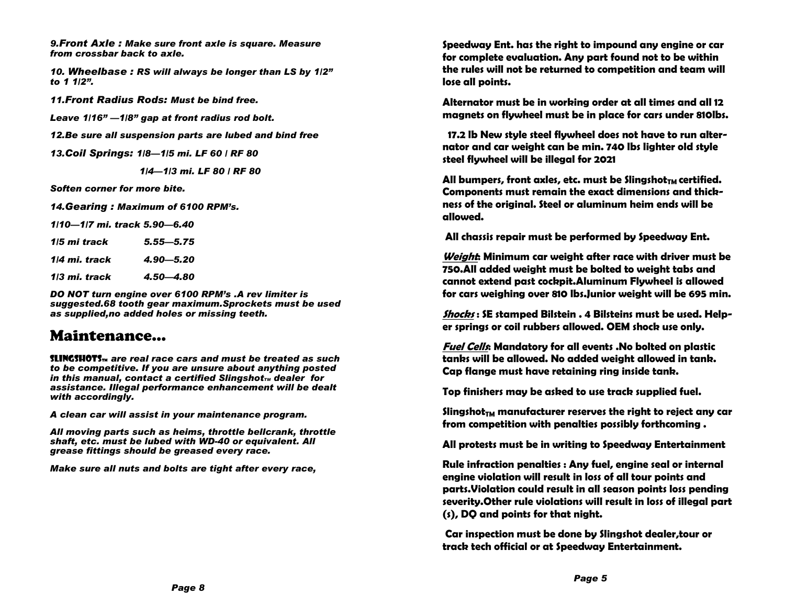*9.Front Axle : Make sure front axle is square. Measure from crossbar back to axle.*

*10. Wheelbase : RS will always be longer than LS by 1/2" to 1 1/2".*

*11.Front Radius Rods: Must be bind free.*

*Leave 1/16" —1/8" gap at front radius rod bolt.*

*12.Be sure all suspension parts are lubed and bind free*

*13.Coil Springs: 1/8—1/5 mi. LF 60 / RF 80*

 *1/4—1/3 mi. LF 80 / RF 80*

*Soften corner for more bite.*

*14.Gearing : Maximum of 6100 RPM's.*

*1/10—1/7 mi. track 5.90—6.40*

| 1/5 mi track  | $5.55 - 5.75$ |
|---------------|---------------|
| 1/4 mi. track | $4.90 - 5.20$ |
| 1/3 mi. track | 4.50 - 4.80   |

*DO NOT turn engine over 6100 RPM's .A rev limiter is suggested.68 tooth gear maximum.Sprockets must be used as supplied,no added holes or missing teeth.*

## Maintenance…

SlingshotSTM *are real race cars and must be treated as such to be competitive. If you are unsure about anything posted in this manual, contact a certified Slingshot<sub><i>M***</sub> dealer for</sub>** *assistance. Illegal performance enhancement will be dealt with accordingly.*

*A clean car will assist in your maintenance program.*

*All moving parts such as heims, throttle bellcrank, throttle shaft, etc. must be lubed with WD-40 or equivalent. All grease fittings should be greased every race.*

*Make sure all nuts and bolts are tight after every race,*

*Page 8*

**Speedway Ent. has the right to impound any engine or car for complete evaluation. Any part found not to be within the rules will not be returned to competition and team will lose all points.**

**Alternator must be in working order at all times and all 12 magnets on flywheel must be in place for cars under 810lbs.**

 **17.2 lb New style steel flywheel does not have to run alternator and car weight can be min. 740 lbs lighter old style steel flywheel will be illegal for 2021**

All bumpers, front axles, etc. must be Slingshot<sub>TM</sub> certified. **Components must remain the exact dimensions and thickness of the original. Steel or aluminum heim ends will be allowed.** 

**All chassis repair must be performed by Speedway Ent.**

**Weight: Minimum car weight after race with driver must be 750.All added weight must be bolted to weight tabs and cannot extend past cockpit.Aluminum Flywheel is allowed for cars weighing over 810 lbs.Junior weight will be 695 min.**

**Shocks : SE stamped Bilstein . 4 Bilsteins must be used. Helper springs or coil rubbers allowed. OEM shock use only.**

**Fuel Cells: Mandatory for all events .No bolted on plastic tanks will be allowed. No added weight allowed in tank. Cap flange must have retaining ring inside tank.**

**Top finishers may be asked to use track supplied fuel.**

**SlingshotTM manufacturer reserves the right to reject any car from competition with penalties possibly forthcoming .**

**All protests must be in writing to Speedway Entertainment**

**Rule infraction penalties : Any fuel, engine seal or internal engine violation will result in loss of all tour points and parts.Violation could result in all season points loss pending severity.Other rule violations will result in loss of illegal part (s), DQ and points for that night.**

**Car inspection must be done by Slingshot dealer,tour or track tech official or at Speedway Entertainment.**